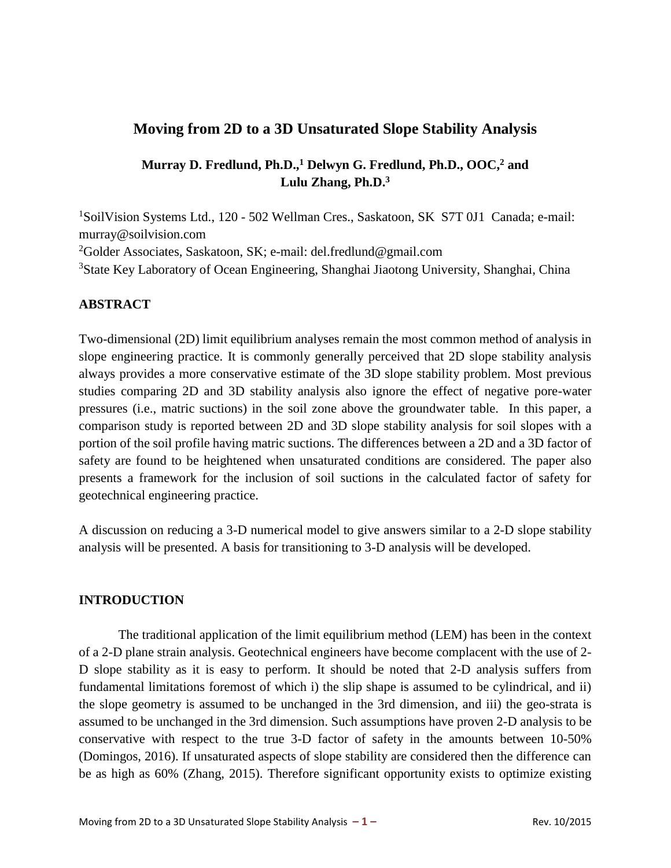# **Moving from 2D to a 3D Unsaturated Slope Stability Analysis**

# **Murray D. Fredlund, Ph.D.,<sup>1</sup> Delwyn G. Fredlund, Ph.D., OOC, <sup>2</sup> and Lulu Zhang, Ph.D.<sup>3</sup>**

<sup>1</sup>SoilVision Systems Ltd., 120 - 502 Wellman Cres., Saskatoon, SK S7T 0J1 Canada; e-mail: murray@soilvision.com <sup>2</sup>Golder Associates, Saskatoon, SK; e-mail: del.fredlund@gmail.com <sup>3</sup>State Key Laboratory of Ocean Engineering, Shanghai Jiaotong University, Shanghai, China

## **ABSTRACT**

Two-dimensional (2D) limit equilibrium analyses remain the most common method of analysis in slope engineering practice. It is commonly generally perceived that 2D slope stability analysis always provides a more conservative estimate of the 3D slope stability problem. Most previous studies comparing 2D and 3D stability analysis also ignore the effect of negative pore-water pressures (i.e., matric suctions) in the soil zone above the groundwater table. In this paper, a comparison study is reported between 2D and 3D slope stability analysis for soil slopes with a portion of the soil profile having matric suctions. The differences between a 2D and a 3D factor of safety are found to be heightened when unsaturated conditions are considered. The paper also presents a framework for the inclusion of soil suctions in the calculated factor of safety for geotechnical engineering practice.

A discussion on reducing a 3-D numerical model to give answers similar to a 2-D slope stability analysis will be presented. A basis for transitioning to 3-D analysis will be developed.

## **INTRODUCTION**

The traditional application of the limit equilibrium method (LEM) has been in the context of a 2-D plane strain analysis. Geotechnical engineers have become complacent with the use of 2- D slope stability as it is easy to perform. It should be noted that 2-D analysis suffers from fundamental limitations foremost of which i) the slip shape is assumed to be cylindrical, and ii) the slope geometry is assumed to be unchanged in the 3rd dimension, and iii) the geo-strata is assumed to be unchanged in the 3rd dimension. Such assumptions have proven 2-D analysis to be conservative with respect to the true 3-D factor of safety in the amounts between 10-50% (Domingos, 2016). If unsaturated aspects of slope stability are considered then the difference can be as high as 60% (Zhang, 2015). Therefore significant opportunity exists to optimize existing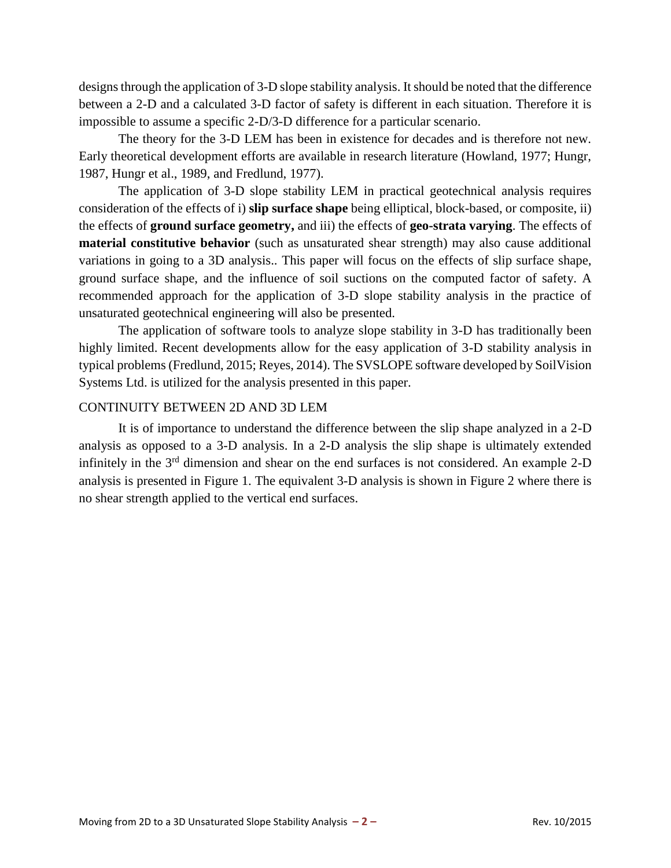designs through the application of 3-D slope stability analysis. It should be noted that the difference between a 2-D and a calculated 3-D factor of safety is different in each situation. Therefore it is impossible to assume a specific 2-D/3-D difference for a particular scenario.

The theory for the 3-D LEM has been in existence for decades and is therefore not new. Early theoretical development efforts are available in research literature (Howland, 1977; Hungr, 1987, Hungr et al., 1989, and Fredlund, 1977).

The application of 3-D slope stability LEM in practical geotechnical analysis requires consideration of the effects of i) **slip surface shape** being elliptical, block-based, or composite, ii) the effects of **ground surface geometry,** and iii) the effects of **geo-strata varying**. The effects of **material constitutive behavior** (such as unsaturated shear strength) may also cause additional variations in going to a 3D analysis.. This paper will focus on the effects of slip surface shape, ground surface shape, and the influence of soil suctions on the computed factor of safety. A recommended approach for the application of 3-D slope stability analysis in the practice of unsaturated geotechnical engineering will also be presented.

The application of software tools to analyze slope stability in 3-D has traditionally been highly limited. Recent developments allow for the easy application of 3-D stability analysis in typical problems (Fredlund, 2015; Reyes, 2014). The SVSLOPE software developed by SoilVision Systems Ltd. is utilized for the analysis presented in this paper.

## CONTINUITY BETWEEN 2D AND 3D LEM

It is of importance to understand the difference between the slip shape analyzed in a 2-D analysis as opposed to a 3-D analysis. In a 2-D analysis the slip shape is ultimately extended infinitely in the 3<sup>rd</sup> dimension and shear on the end surfaces is not considered. An example 2-D analysis is presented in Figure 1. The equivalent 3-D analysis is shown in [Figure 2](#page-2-0) where there is no shear strength applied to the vertical end surfaces.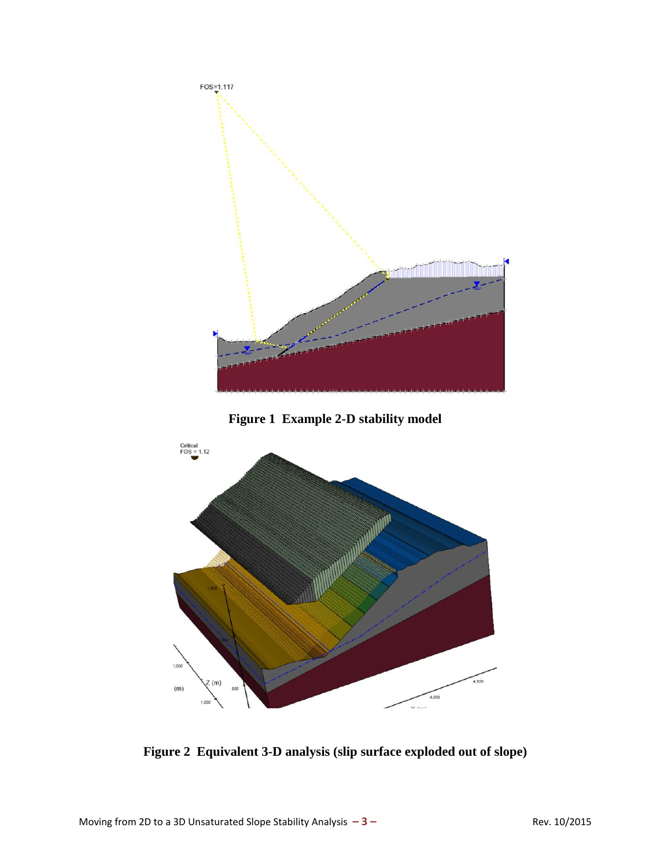

<span id="page-2-0"></span>**Figure 2 Equivalent 3-D analysis (slip surface exploded out of slope)**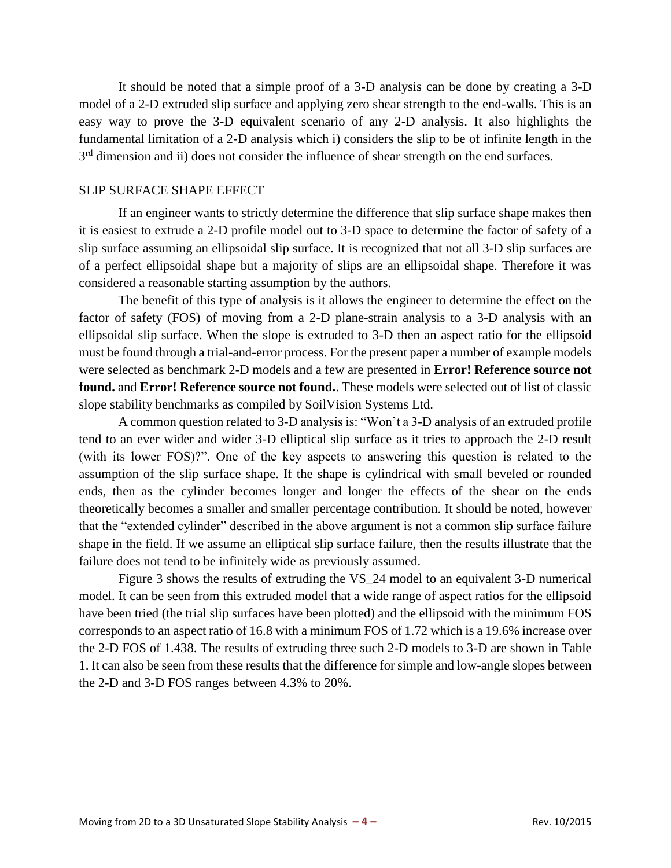It should be noted that a simple proof of a 3-D analysis can be done by creating a 3-D model of a 2-D extruded slip surface and applying zero shear strength to the end-walls. This is an easy way to prove the 3-D equivalent scenario of any 2-D analysis. It also highlights the fundamental limitation of a 2-D analysis which i) considers the slip to be of infinite length in the 3<sup>rd</sup> dimension and ii) does not consider the influence of shear strength on the end surfaces.

#### SLIP SURFACE SHAPE EFFECT

If an engineer wants to strictly determine the difference that slip surface shape makes then it is easiest to extrude a 2-D profile model out to 3-D space to determine the factor of safety of a slip surface assuming an ellipsoidal slip surface. It is recognized that not all 3-D slip surfaces are of a perfect ellipsoidal shape but a majority of slips are an ellipsoidal shape. Therefore it was considered a reasonable starting assumption by the authors.

The benefit of this type of analysis is it allows the engineer to determine the effect on the factor of safety (FOS) of moving from a 2-D plane-strain analysis to a 3-D analysis with an ellipsoidal slip surface. When the slope is extruded to 3-D then an aspect ratio for the ellipsoid must be found through a trial-and-error process. For the present paper a number of example models were selected as benchmark 2-D models and a few are presented in **Error! Reference source not found.** and **Error! Reference source not found.**. These models were selected out of list of classic slope stability benchmarks as compiled by SoilVision Systems Ltd.

A common question related to 3-D analysis is: "Won't a 3-D analysis of an extruded profile tend to an ever wider and wider 3-D elliptical slip surface as it tries to approach the 2-D result (with its lower FOS)?". One of the key aspects to answering this question is related to the assumption of the slip surface shape. If the shape is cylindrical with small beveled or rounded ends, then as the cylinder becomes longer and longer the effects of the shear on the ends theoretically becomes a smaller and smaller percentage contribution. It should be noted, however that the "extended cylinder" described in the above argument is not a common slip surface failure shape in the field. If we assume an elliptical slip surface failure, then the results illustrate that the failure does not tend to be infinitely wide as previously assumed.

[Figure 3](#page-4-0) shows the results of extruding the VS\_24 model to an equivalent 3-D numerical model. It can be seen from this extruded model that a wide range of aspect ratios for the ellipsoid have been tried (the trial slip surfaces have been plotted) and the ellipsoid with the minimum FOS corresponds to an aspect ratio of 16.8 with a minimum FOS of 1.72 which is a 19.6% increase over the 2-D FOS of 1.438. The results of extruding three such 2-D models to 3-D are shown in [Table](#page-4-1)  [1.](#page-4-1) It can also be seen from these results that the difference for simple and low-angle slopes between the 2-D and 3-D FOS ranges between 4.3% to 20%.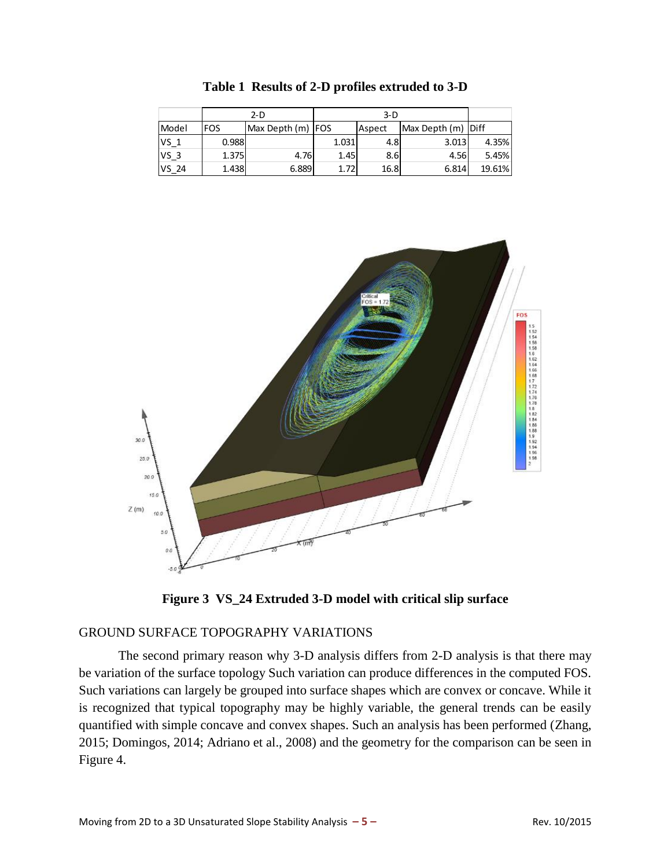<span id="page-4-1"></span>

|        | $2-D$ |                   | $3-D$ |        |                    |        |
|--------|-------|-------------------|-------|--------|--------------------|--------|
| Model  | FOS   | Max Depth (m) FOS |       | Aspect | Max Depth (m) Diff |        |
| $VS_1$ | 0.988 |                   | 1.031 | 4.8    | 3.013              | 4.35%  |
| $VS_3$ | 1.375 | 4.76              | 1.45  | 8.6I   | 4.56               | 5.45%  |
| VS_24  | 1.438 | 6.889             | 1.72  | 16.8   | 6.814              | 19.61% |

**Table 1 Results of 2-D profiles extruded to 3-D**





### <span id="page-4-0"></span>GROUND SURFACE TOPOGRAPHY VARIATIONS

The second primary reason why 3-D analysis differs from 2-D analysis is that there may be variation of the surface topology Such variation can produce differences in the computed FOS. Such variations can largely be grouped into surface shapes which are convex or concave. While it is recognized that typical topography may be highly variable, the general trends can be easily quantified with simple concave and convex shapes. Such an analysis has been performed (Zhang, 2015; Domingos, 2014; Adriano et al., 2008) and the geometry for the comparison can be seen in [Figure 4.](#page-5-0)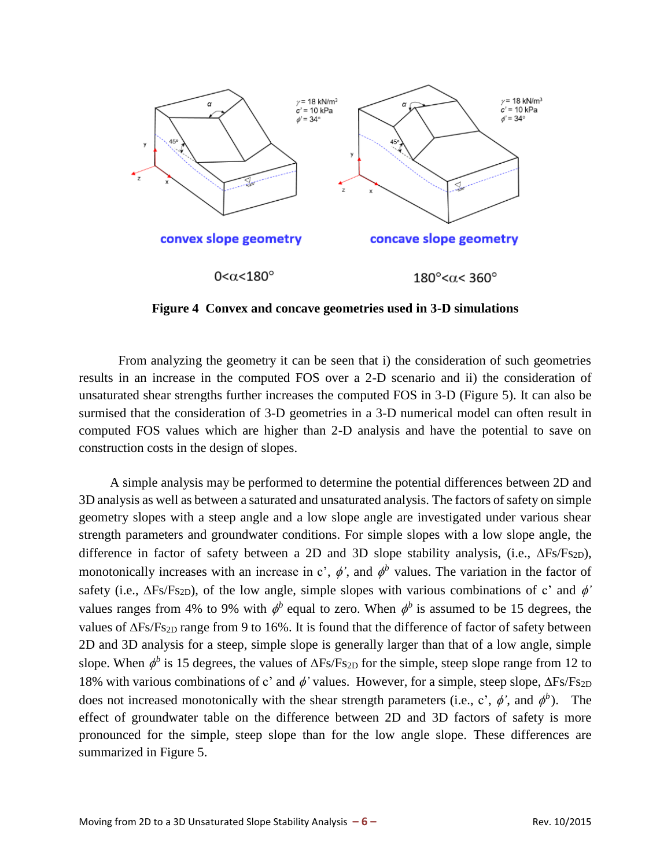

**Figure 4 Convex and concave geometries used in 3-D simulations**

<span id="page-5-0"></span>From analyzing the geometry it can be seen that i) the consideration of such geometries results in an increase in the computed FOS over a 2-D scenario and ii) the consideration of unsaturated shear strengths further increases the computed FOS in 3-D [\(Figure 5\)](#page-6-0). It can also be surmised that the consideration of 3-D geometries in a 3-D numerical model can often result in computed FOS values which are higher than 2-D analysis and have the potential to save on construction costs in the design of slopes.

A simple analysis may be performed to determine the potential differences between 2D and 3D analysis as well as between a saturated and unsaturated analysis. The factors of safety on simple geometry slopes with a steep angle and a low slope angle are investigated under various shear strength parameters and groundwater conditions. For simple slopes with a low slope angle, the difference in factor of safety between a 2D and 3D slope stability analysis, (i.e.,  $\Delta F_S/F_{S2D}$ ), monotonically increases with an increase in c',  $\phi$ ', and  $\phi^b$  values. The variation in the factor of safety (i.e.,  $\Delta$ Fs/Fs<sub>2D</sub>), of the low angle, simple slopes with various combinations of c' and  $\phi'$ values ranges from 4% to 9% with  $\phi^b$  equal to zero. When  $\phi^b$  is assumed to be 15 degrees, the values of  $\Delta F_S/F_{S2D}$  range from 9 to 16%. It is found that the difference of factor of safety between 2D and 3D analysis for a steep, simple slope is generally larger than that of a low angle, simple slope. When  $\phi^b$  is 15 degrees, the values of  $\Delta$ Fs/Fs<sub>2D</sub> for the simple, steep slope range from 12 to 18% with various combinations of c' and  $\phi$ ' values. However, for a simple, steep slope,  $\Delta F_S/F_{S2D}$ does not increased monotonically with the shear strength parameters (i.e., c',  $\phi'$ , and  $\phi^b$ ). The effect of groundwater table on the difference between 2D and 3D factors of safety is more pronounced for the simple, steep slope than for the low angle slope. These differences are summarized in [Figure 5.](#page-6-0)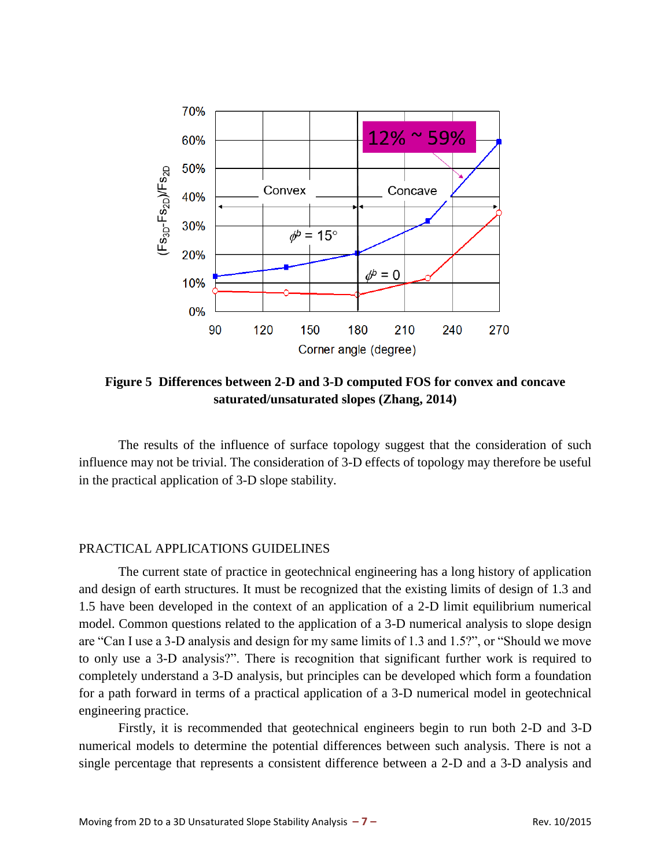

<span id="page-6-0"></span>**Figure 5 Differences between 2-D and 3-D computed FOS for convex and concave saturated/unsaturated slopes (Zhang, 2014)**

The results of the influence of surface topology suggest that the consideration of such influence may not be trivial. The consideration of 3-D effects of topology may therefore be useful in the practical application of 3-D slope stability.

### PRACTICAL APPLICATIONS GUIDELINES

The current state of practice in geotechnical engineering has a long history of application and design of earth structures. It must be recognized that the existing limits of design of 1.3 and 1.5 have been developed in the context of an application of a 2-D limit equilibrium numerical model. Common questions related to the application of a 3-D numerical analysis to slope design are "Can I use a 3-D analysis and design for my same limits of 1.3 and 1.5?", or "Should we move to only use a 3-D analysis?". There is recognition that significant further work is required to completely understand a 3-D analysis, but principles can be developed which form a foundation for a path forward in terms of a practical application of a 3-D numerical model in geotechnical engineering practice.

Firstly, it is recommended that geotechnical engineers begin to run both 2-D and 3-D numerical models to determine the potential differences between such analysis. There is not a single percentage that represents a consistent difference between a 2-D and a 3-D analysis and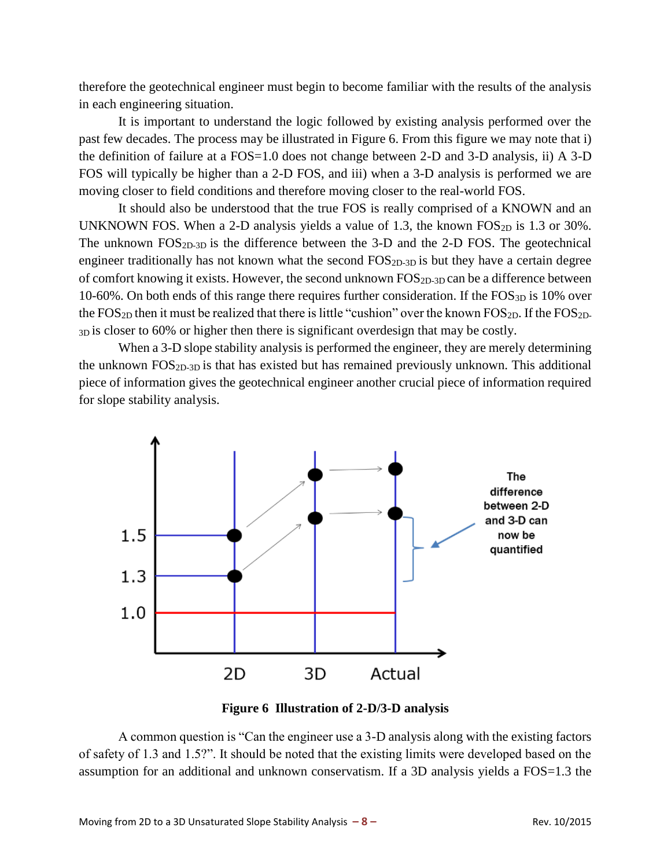therefore the geotechnical engineer must begin to become familiar with the results of the analysis in each engineering situation.

It is important to understand the logic followed by existing analysis performed over the past few decades. The process may be illustrated in [Figure 6.](#page-7-0) From this figure we may note that i) the definition of failure at a FOS=1.0 does not change between 2-D and 3-D analysis, ii) A 3-D FOS will typically be higher than a 2-D FOS, and iii) when a 3-D analysis is performed we are moving closer to field conditions and therefore moving closer to the real-world FOS.

It should also be understood that the true FOS is really comprised of a KNOWN and an UNKNOWN FOS. When a 2-D analysis yields a value of 1.3, the known  $FOS<sub>2D</sub>$  is 1.3 or 30%. The unknown FOS2D-3D is the difference between the 3-D and the 2-D FOS. The geotechnical engineer traditionally has not known what the second FOS<sub>2D-3D</sub> is but they have a certain degree of comfort knowing it exists. However, the second unknown  $FOS<sub>2D-3D</sub>$  can be a difference between 10-60%. On both ends of this range there requires further consideration. If the FOS3D is 10% over the  $FOS_{2D}$  then it must be realized that there is little "cushion" over the known  $FOS_{2D}$ . If the  $FOS_{2D}$ -3D is closer to 60% or higher then there is significant overdesign that may be costly.

When a 3-D slope stability analysis is performed the engineer, they are merely determining the unknown  $FOS<sub>2D-3D</sub>$  is that has existed but has remained previously unknown. This additional piece of information gives the geotechnical engineer another crucial piece of information required for slope stability analysis.



**Figure 6 Illustration of 2-D/3-D analysis**

<span id="page-7-0"></span>A common question is "Can the engineer use a 3-D analysis along with the existing factors of safety of 1.3 and 1.5?". It should be noted that the existing limits were developed based on the assumption for an additional and unknown conservatism. If a 3D analysis yields a FOS=1.3 the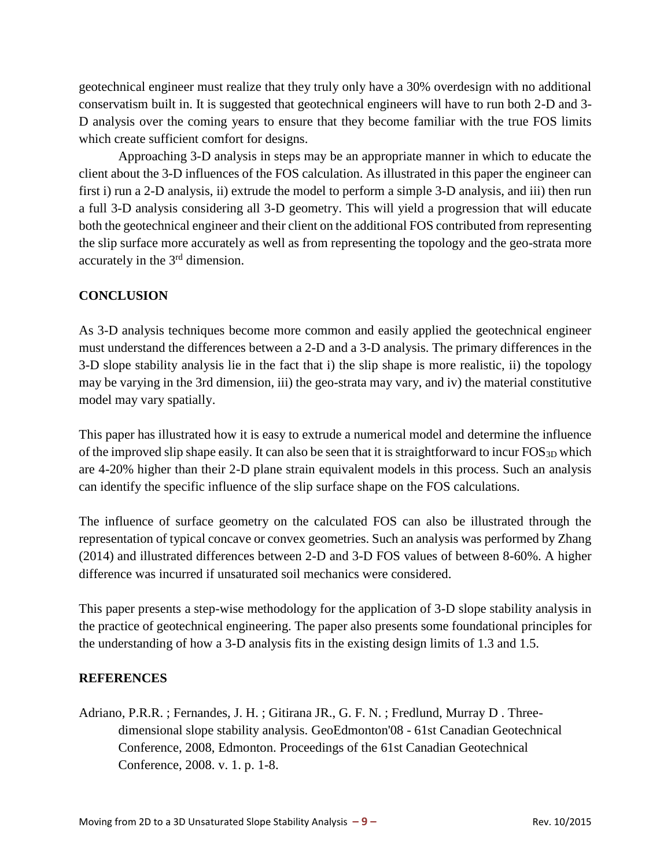geotechnical engineer must realize that they truly only have a 30% overdesign with no additional conservatism built in. It is suggested that geotechnical engineers will have to run both 2-D and 3- D analysis over the coming years to ensure that they become familiar with the true FOS limits which create sufficient comfort for designs.

Approaching 3-D analysis in steps may be an appropriate manner in which to educate the client about the 3-D influences of the FOS calculation. As illustrated in this paper the engineer can first i) run a 2-D analysis, ii) extrude the model to perform a simple 3-D analysis, and iii) then run a full 3-D analysis considering all 3-D geometry. This will yield a progression that will educate both the geotechnical engineer and their client on the additional FOS contributed from representing the slip surface more accurately as well as from representing the topology and the geo-strata more accurately in the 3rd dimension.

## **CONCLUSION**

As 3-D analysis techniques become more common and easily applied the geotechnical engineer must understand the differences between a 2-D and a 3-D analysis. The primary differences in the 3-D slope stability analysis lie in the fact that i) the slip shape is more realistic, ii) the topology may be varying in the 3rd dimension, iii) the geo-strata may vary, and iv) the material constitutive model may vary spatially.

This paper has illustrated how it is easy to extrude a numerical model and determine the influence of the improved slip shape easily. It can also be seen that it is straightforward to incur FOS<sub>3D</sub> which are 4-20% higher than their 2-D plane strain equivalent models in this process. Such an analysis can identify the specific influence of the slip surface shape on the FOS calculations.

The influence of surface geometry on the calculated FOS can also be illustrated through the representation of typical concave or convex geometries. Such an analysis was performed by Zhang (2014) and illustrated differences between 2-D and 3-D FOS values of between 8-60%. A higher difference was incurred if unsaturated soil mechanics were considered.

This paper presents a step-wise methodology for the application of 3-D slope stability analysis in the practice of geotechnical engineering. The paper also presents some foundational principles for the understanding of how a 3-D analysis fits in the existing design limits of 1.3 and 1.5.

## **REFERENCES**

Adriano, P.R.R. ; Fernandes, J. H. ; Gitirana JR., G. F. N. ; Fredlund, Murray D . Threedimensional slope stability analysis. GeoEdmonton'08 - 61st Canadian Geotechnical Conference, 2008, Edmonton. Proceedings of the 61st Canadian Geotechnical Conference, 2008. v. 1. p. 1-8.